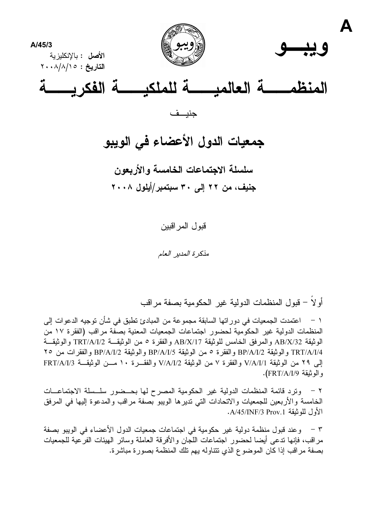

# سلسلة الاجتماعات الخامسة والأربعون

جنیف، من ۲۲ إلی ۳۰ سبتمبر/أیلول ۲۰۰۸

قبول المراقبين

بذكرة المدير العام

أو لاً – قبول المنظمات الدولية غير الحكومية بصفة مراقب

 $\boldsymbol{\Delta}$ 

١ – اعتمدت الجمعيات في دور اتها السابقة مجموعة من المبادئ تطبق في شأن توجيه الدعوات إلى المنظمات الدولية غير الحكومية لحضور اجتماعات الجمعيات المعنية بصفة مراقب (الفقرة ١٧ من الوثيقة AB/X/32 والمرفق الخامس للوثيقة AB/X/17 والفقرة 0 من الوثيقـــة TRT/A/I/2 والوثيقـــة TRT/A/I/4 والوثيقة BP/A/I/2 والفقرة ٥ من الوثيقة BP/A/I/5 والوثيقة BP/A/I/2 والفقرات من ٢٥ إلى ٢٩ من الوثيقة V/A/I/1 والفقرة ٧ من الوثيقة V/A/I/2 والفقـــرة ١٠ مـــن الوثيقـــة FRT/A/I/3 و الوثيقة FRT/A/I/9).

٢ – وترد قائمة المنظمات الدولية غير الحكومية المصرح لمها بحــضور سلــسلة الاجتماعـــات الخامسة والأربعين للجمعيات والاتحادات التي تديرها الويبو بصفة مراقب والمدعوة إليها في المرفق الأول للوثيقة A/45/INF/3 Prov.1 .

٣ – وعند قبول منظمة دولية غير حكومية في اجتماعات جمعيات الدول الأعضاء في الويبو بصفة مراقب، فإنها ندعى أيضا لحضور اجتماعات اللجان والأفرقة العاملة وسائر الهيئات الفرعية للجمعيات بصفة مراقب إذا كان الموضوع الذي تتناوله يهم تلك المنظمة بصورة مباشرة.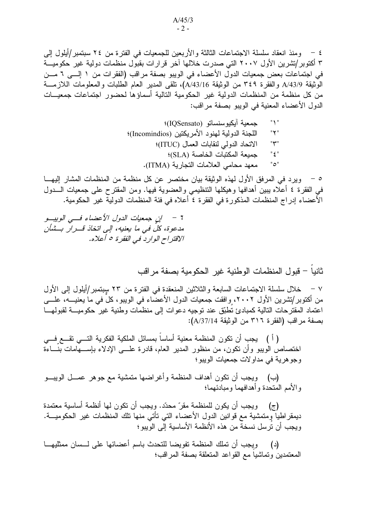٤ – ومنذ انعقاد سلسلة الاجتماعات الثالثة والأربعين للجمعيات في الفترة من ٢٤ سبتمبر/أيلول إلى ۳ أكتوبر/تشرين الأول ٢٠٠٧ التي صدرت خلالها آخر قرارات بقبول منظمات دولية غير حكوميـــة في اجتماعات بعض جمعيات الدول الأعضاء في الويبو بصفة مراقب (الفقرات من ١ إلـــي ٦ مـــن الوثيقة A/43/9 والفقرة ٣٤٩ من الوثيقة A/43/16)، تلقى المدير العام الطلبات والمعلومات اللازمــــة من كل منظمة من المنظمات الدولية غير الحكومية التالية أسماؤها لحضور اجتماعات جمعيـــات الدول الأعضاء المعنية في الويبو بصفة مر اقب:

"ا"  
\n
$$
= 12
$$
  
\n
$$
= 12
$$
  
\n
$$
= 12
$$
  
\n
$$
= 12
$$
  
\n
$$
= 12
$$
  
\n
$$
= 12
$$
  
\n
$$
= 12
$$
  
\n
$$
= 12
$$
  
\n
$$
= 12
$$
  
\n
$$
= 12
$$
  
\n
$$
= 12
$$
  
\n
$$
= 12
$$
  
\n
$$
= 12
$$
  
\n
$$
= 12
$$
  
\n
$$
= 12
$$
  
\n
$$
= 12
$$
  
\n
$$
= 12
$$
  
\n
$$
= 12
$$
  
\n
$$
= 12
$$
  
\n
$$
= 12
$$
  
\n
$$
= 12
$$
  
\n
$$
= 12
$$
  
\n
$$
= 12
$$
  
\n
$$
= 12
$$
  
\n
$$
= 12
$$
  
\n
$$
= 12
$$
  
\n
$$
= 12
$$
  
\n
$$
= 12
$$
  
\n
$$
= 12
$$
  
\n
$$
= 12
$$
  
\n
$$
= 12
$$
  
\n
$$
= 12
$$
  
\n
$$
= 12
$$
  
\n
$$
= 12
$$
  
\n
$$
= 12
$$
  
\n
$$
= 12
$$
  
\n
$$
= 12
$$
  
\n
$$
= 12
$$
  
\n
$$
= 12
$$
  
\n
$$
= 12
$$
  
\n
$$
= 12
$$
  
\n
$$
= 12
$$
  
\n
$$
= 12
$$
  
\n
$$
= 12
$$
  
\n
$$
= 12
$$
  
\n
$$
= 12
$$
  
\n
$$
= 12
$$
  
\n
$$
=
$$

٥ – ويرد في المرفق الأول لهذه الوثيقة بيان مختصر عن كل منظمة من المنظمات المشار إليهــا في الفقرة ٤ أعلاه يبين أهدافها وهيكلها النتظيمي والعضوية فيها. ومن المقترح على جمعيات الــــدول الأعضاء إدراج المنظمات المذكورة في الفقرة ٤ أعلاه في فئة المنظمات الدولية غير الحكومية.

مدعوة، كل في ما يعنيه، إلى اتخاذ قـــرار بـــشأن الاقتراح الوارد في الفقرة ٥ أعلاه.

ثانيا – قبول المنظمات الوطنية غبر الحكومية بصفة مر اقب

٧ – خلال سلسلة الاجتماعات السابعة والثلاثين المنعقدة في الفترة من ٢٣ سبتمبر/أيلول إلى الأول من أكتوبر/تشرين الأول ٢٠٠٢، وافقت جمعيات الدول الأعضاء في الويبو، كلَّ في ما يعنيـــه، علــــى اعتماد المقترحات النالية كمبادئ تُطبّق عند نوجيه دعوات إلى منظمات وطنية غير حكوميـــة لقبولهـــا بصفة مراقب (الفقرة ٣١٦ من الوثيقة A/37/14):

( أ ) بجب أن نكون المنظمة معنية أساساً بمسائل الملكية الفكرية التـــي نقـــع فـــي اختصاص الويبو وأن نكون، من منظور المدير العام، قادرة علـــي الإدلاء بإســـهامات بنـــاءة وجوهرية في مداولات جمعيات الويبو؛

(ب) ويجب أن نكون أهداف المنظمة وأغراضها متمشية مع جوهر عمـــل الويبـــو والأمم المتحدة وأهدافهما ومبادئهما؛

(ج) ويجب أن يكون للمنظمة مقرّ محدّد. ويجب أن نكون لها أنظمة أساسية معتمدة ديمقراطيا وِمتمشية مع قوانين الدول الأعضاء التي تأتي منها تلك المنظمات غير الحكوميـــة. ويجب أن تُرسِل نسخة من هذه الأنظمة الأساسية إلى الويبو ؛

(د) ويجب أن تملك المنظمة تفويضا للتحدث باسم أعضائها على لــسان ممثليهـــا المعتمدين وتماشيا مع القواعد المتعلقة بصفة المراقب؛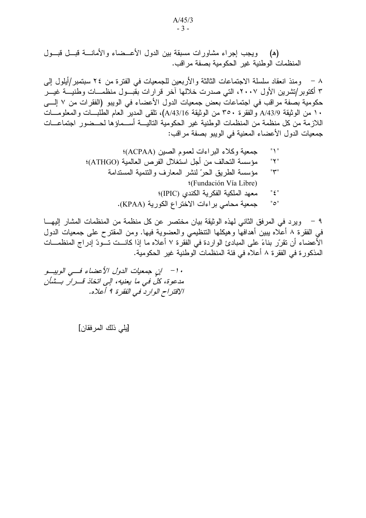(ه) ويجب إجراء مشاورات مسبقة بين الدول الأعــضاء والأمانــــة قبـــل قبـــول المنظمات الوطنية غير الحكومية بصفة مراقب.

٨ – ومنذ انعقاد سلسلة الاجتماعات الثالثة والأربعين للجمعيات في الفترة من ٢٤ سبتمبر/أيلول إلى ۳ أكتوبر/نشرين الأول ٢٠٠٧، التي صدرت خلالها آخر قرارات بقبـــول منظمـــات وطنيـــة غيـــر حكومية بصفة مراقب في اجتماعات بعض جمعيات الدول الأعضاء في الويبو (الفقرات من ٧ إلـــى ١٠ من الوثيقة A/43/9 والفقرة ٣٥٠ من الوثيقة A/43/16)، تلقى المدير العام الطلبات والمعلومــات اللازمة من كل منظمة من المنظمات الوطنية غير الحكومية التاليـــة أســـماؤها لـحــضور اجتماعـــات جمعيات الدول الأعضاء المعنية في الويبو بصفة مراقب:

جمعية محامي براءات الاختراع الكورية (KPAA).

٩ – ويرد في المرفق الثاني لهذه الوثيقة بيان مختصر عن كل منظمة من المنظمات المشار اليهـــا في الفقرة ٨ أعلاه يبين أهدافها وهيكلها التنظيمي والعضوية فيها. ومن المقترح على جمعيات الدول الأعضاء أن تقرّر بناءً على المبادئ الواردة في الفقرة ٧ أعلاه ما إذا كانــت تــودّ إدراج المنظمـــات المذكور ة في الفقر ة ٨ أعلاه في فئة المنظمات الوطنية غير الحكومية.

۰۱ - ان جمعيات الدول الأعضاء ف<sub>سي</sub> الوييو مدعوة، كلّ في ما يعنيه، إلى اتخاذ قـــرار بــشأن الإقتراح الوارد في الفقرة 1 أعلاه.

[يلي ذلك المرفقان]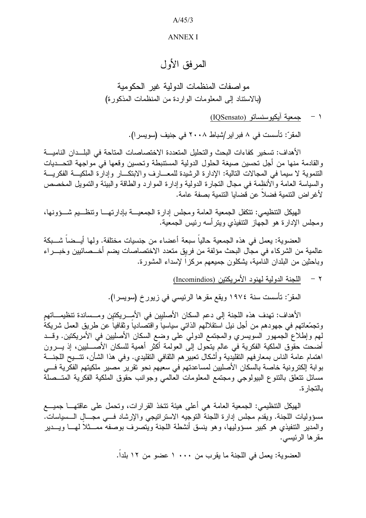$A/45/3$ 

#### **ANNEX I**

## المر فق الأول

۱ – جمعية أيكيوسنسانو (IQSensato)

المقرّ : تأسست في ٨ فبر اير /شباط ٢٠٠٨ في جنيف (سويسر ا).

الأهداف: تسخير كفاءات البحث والتحليل المتعددة الاختصاصات المتاحة في البلــدان الناميـــة والقادمة منها من أجل تحسين صيغة الحلول الدولية المستنبطة وتحسين وقعها في مواجهة التحــديات النتموية لا سيما في المجالات التالية: الإدارة الرشيدة للمعــارف والابتكــار وإدارة الملكيـــة الفكريـــة والسياسة العامة والأنظِمة في مجال النجارة الدولية وإدارة الموارد والطاقة والبيئة والنمويل المخصص لأغر اض التنمية فضلا عن قضايا التنمية بصفة عامة.

الهيكل التنظيمي: تتكفل الجمعية العامة ومجلس إدارة الجمعيسة بإدار تهسا وتنظسيم شسؤونها، ومجلس الإدارة هو الجهاز التنفيذي ويترأسه رئيس الجمعية.

العضوية: يعمل في هذه الجمعية حالياً سبعة أعضاء من جنسيات مختلفة. ولها أيــضاً شـــبكة عالمية من الشركاء في مجال البحث مؤلفة من فريق متعدد الاختصاصات يضم أخـــصائيين وخبـــراء وباحثين من البلدان النامية، بشكلون جميعهم مركزا لإسداء المشورة.

٢ – اللجنة الدولية لهنود الأمريكتين (Incomindios)

المقرّ: تأسست سنة ١٩٧٤ ويقع مقر ها الرئيسي في زيور خ (سويسر ا).

الأهداف: تهدف هذه اللجنة إلى دعم السكان الأصليين في الأمــــريكتين ومـــساندة تنظيمــــاتهم ونجمَّعاتهم في جهودهم من أجل نيل استقلالهم الذاتي سياسيا واقتصاديا وثقافيا عن طريق العمل شريكة لمهم وإطلاع الجمهور السويسري والمجتمع الدولي على وضع السكان الأصليين في الأمريكتين. وقــد أضحت حقوق الملكية الفكرية في عالم يتحول إلى العولمة أكثر أهمية للسكان الأصــــليين، إذ يــــرون اهتمام عامة الناس بمعارفهم النقليدية وأشكال تعبيرهم النقافي النقليدي. وفي هذا الشأن، تتـــيح اللجنــــة بوابة إلكترونية خاصة بالسكان الأصليين لمساعدتهم في سعيهم نحو تقرير مصير ملكيتهم الفكرية فسي مسائل نتعلق بالنتوع الببولوجي ومجتمع المعلومات العالمي وجوانب حقوق الملكية الفكرية المتــصلة بالتجار ة.

الهيكل التنظيمي: الجمعية العامة هي أعلى هيئة نتخذ القرارات، وتحمل على عاقتهـــا جميــــع مسؤوليات اللجنة. ويقدم مجلس إدارة اللجنة التوجيه الاستراتيجي والإرشاد فسي مجــال الــسياسات. والمدير التتفيذي هو كبير مسؤوليها، وهو ينسق أنشطة اللجنة ويتصرف بوصفه ممـــثلاً لمهـــا ويــــدير مقر ها الرئيسے.

العضوية: يعمل في اللجنة ما يقرب من ١٠٠ ١ عضو من ١٢ بلداً.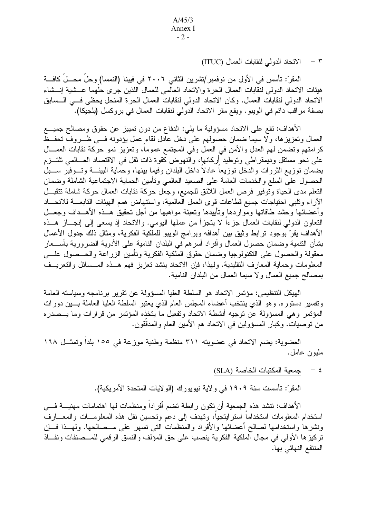$A/45/3$ Annex I  $-2-$ 

٣ – الاتحاد الدولي لنقابات العمال (ITUC)

المقرّ: تأسس في الأول من نوفمبر/تشرين الثاني ٢٠٠٦ في فيبنا (النمسا) وحلّ محـــلّ كافـــة هيئات الاتحاد الدولي لنقابات العمال الحرة والاتحاد العالمي للعمال اللذين جرى حلَّهما عـــشية إنـــشاء الاتحاد الدولي لنقابات العمال. وكان الاتحاد الدولي لنقابات العمال الحرة المنحل يحظى فسي السسابق بصفة مراقب دائم في الويبو . ويقع مقر الاتحاد الدولي لنقابات العمال في بروكسل (بلجيكا).

الأهداف: نقع على الانحاد مسؤولية ما يلي: الدفاع من دون نمييز عن حقوق ومصـالـح جميـــع العمال وتعزيزها، ولا سيما ضمان حصولهم على دخل عادل لقاء عمل يؤدونه فـــي ظـــروفٌ تحفــظُ كرامتهم وتضمن لهم العدل والأمن في العمل وفي المجتمع عموما، وتعزيز نمو حركة نقابات العمـــال على نحو مستقل وديمقراطي وتوطيد أركانها، والنهوض كقوة ذات ثقل في الاقتصاد العـــالمي تلتـــزم بضمان نوزيع الثروات والدخل نوزيعا عادلا داخل البلدان وفيما بينها، وحماية البيئـــة وتـــوفير ســــبل الحصول علىى السلع والخدمات العامة على الصعيد العالمي ونأمين الحماية الاجتماعية الشاملة وضمان النعلم مدى الحياة ونوفير فرص العمل اللائق للجميع، وجعل حركة نقابات العمال حركة شاملة نتقبـــل الأراء ونلبى احتياجات جميع قطاعات قوى العمل العالمية، واستنهاض همم الهيئات التابعـــة للاتحـــاد وأعضائها وحشد طاقاتها ومواردها وتأييدها وتعبئة مواهبها من أجل تحقيق هــذه الأهــداف وجعــل النعاون الدولي لنقابات العمال جزءاً لا يتجزأ من عملها اليومي. والانحاد إذ يسعى إلى إنجـــاز هـــذه الأهداف يقرّ بوجود ترابط وثيق بين أهدافه وبرامج الويبو للملكية الفكرية، ومثال ذلك جدول الأعمال بشأن النتمية وضمان حصول العمال وأفراد أسرهم في البلدان النامية على الأدوية الضرورية بأســـعار معقولة والحصول على التكنولوجيا وضمان حقوق الملكية الفكرية وتأمين الزراعة والحــصول علــــي المعلومات وحماية المعارف التقليدية. ولهذا، فإن الاتحاد ينشد تعزيز فهم هــذه المـــسائل والتعريــف بمصـالح جميع العمال ولا سيمـا العمال من البلدان النامية.

الهيكل التنظيمي: مؤتمر الاتحاد هو السلطة العليا المسؤولة عن نقرير برنامجه وسياسته العامة ونفسير دستوره. وهو الذي ينتخب أعضاء المجلس العام الذي يعتبر السلطة العليا العاملة بـــين دورات المؤتمر وهي المسؤولة عن توجيه أنشطة الاتحاد وتفعيل ما يتخذه المؤتمر من قرارات وما يـــصدره من نوصيات. وكبار المسؤولين في الانحاد هم الأمين العام والمدقَّقون.

العضوية: يضم الاتحاد في عضويته ٣١١ منظمة وطنية موزعة في ١٥٥ بلدا وتمثــل ١٦٨ مليون عامل.

٤ - جمعية المكتبات الخاصة (SLA)

المقرّ : تأسست سنة ١٩٠٩ في و لاية نيويورك (الو لايات المتحدة الأمريكية).

الأهداف: تنشد هذه الجمعية أن تكون رابطة تضم أفراداً ومنظمات لها اهتمامات مهنيـــة فــــى استخدام المعلومات استخداما استرايتجيا، وتهدف إلى دعم وتحسين نقل هذه المعلومـــات والمعـــارف ونشرها واستخدامها لصالح أعضائها والأفراد والمنظمات التبي نسهر علىي مــصالحها. ولمهــذا فـــإن تركيزها الأولى في مجال الملكية الفكرية ينصب على حق المؤلف والنسق الرقمي للمـــصنفات ونفـــاذ المنتفع النهائي بها.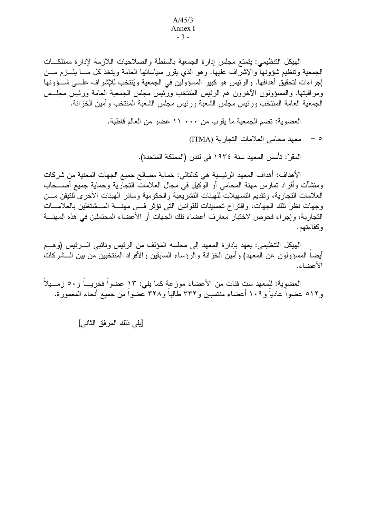#### $A/45/3$ Annex I  $-3-$

الهيكل التنظيمي: يتمتع مجلس إدارة الجمعية بالسلطة والصلاحيات اللازمة لإدارة ممتلكــات الجمعية ونتظيم شؤونها والإشراف عليها. وهو الذي يقرر سياساتها العامة ويتخذ كل مسا يلسزم مسن إجراءات لتحقيق أهدافها. والرئيس هو كبير المسؤولين في الجمعية ويُنتخب للإشراف علـــي شـــؤونها ومر اقبتها. والمسؤولون الأخرون هم الرئيس المُنتخب ورَّئيس مجلس الجمعية العامة ورئيس مجلَّــس الجمعية العامة المنتخب ورئيس مجلس الشعبة ورئيس مجلس الشعبة المنتخب وأمين الخزانة.

العضوية: تضم الجمعية ما يقرب من ١١٠٠ ١١ عضو من العالم قاطبة.

معهد محامي العلامات التجارية (ITMA)  $-$  0

المقرّ : تأسس المعهد سنة ١٩٣٤ في لندن (المملكة المتحدة).

الأهداف: أهداف المعهد الرئيسية هي كالتالي: حماية مصالح جميع الجهات المعنية من شركات ومنشأت وأفراد تمارس مهنة المحامى أو الوكيل في مجال العلامات النجارية وحماية جميع أصـــحاب العلامات النجارية، وتقديم التسهيلات للهيئات النشريعية والحكومية وسائر الهيئات الأخرى للنيقن مـــن وجهات نظر تلك الجهات، واقتراح تحسينات للقوانين التي تؤثر فسي مهنسة المسشتغلين بالعلامسات النجارية، وإجراء فحوص لاختبار معارف أعضاء نلك الجهات أو الأعضاء المحتملين في هذه المهنــــة وكفاءتهم.

الهيكل التنظيمي: يعهد بإدارة المعهد إلى مجلسه المؤلف من الرئيس ونائبي الــــرئيس (وهـــم أيضا المسؤولون عن المعهد) وأمين الخزانة والرؤساء السابقين والأفراد المنتخبين من بين الـــشركات الأعضاء.

العضوِية: للمعهد ست فئات من الأعضاء موزعةِ كما يلي: ١٣ عضواً فخريـــاً و ٥٠ زمـــيلاً و١٢ه عضوا عاديا و١٠٩ أعضاء منتسبين و٣٣٢ طالبا و٣٢٨ عضوا من جميع أنحاء المعمورة.

[يلي ذلك المرفق الثاني]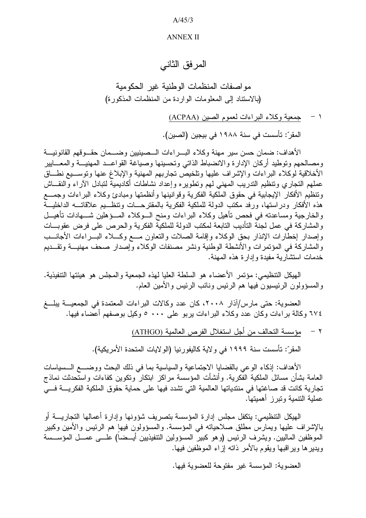#### $A/45/3$

#### **ANNEX II**

### المر فق الثاني

مو اصفات المنظمات الوطنية غير الحكومية (بالاستناد إلى المعلومات الواردة من المنظمات المذكورة) ١ - جمعية وكلاء البراءات لعموم الصين (ACPAA) المقرّ : تأسست في سنة ١٩٨٨ في بيجين (الصين).

الأهداف: ضمان حسن سير مهنة وكلاء البـــر اءات الـــصبنِيين و ضــــمان حقـــو قهم القانو نيــــة ومصالحهم وتوطيد أركان الإدارة والانضباط الذاتي وتحسينها وصياغة القواعــد المهنيـــة والمعــَـابير الأخلاقية لوكلاء البراءات والإشراف عليها ونلخيص نجاربهم المهنية والإبلاغ عنها ونوســيع نطـــاق عملهم النجاري ونتظيم الندريب المهنى لمهم ونطويره وإعداد نشاطات أكاديمية لنبادل الأراء والنقـــاش ونتظيم الأفكار الإيجابية في حقوق الملكية الفكرية وقوانينها وأنظمتها ومبادئ وكلاء البراءات وجمـــع هذه الأفكار ودر استها، ورفد مكتب الدولة للملكية الفكرية بالمقتر حسات وتنظسيم علاقاتسه الداخليسة والخارجية ومساعدته في فحص تأهيل وكلاء البراءات ومنح السوكلاء المسؤهلين شسهادات تأهيسل و المشاركة في عمل لجنة التأديب التابعة لمكتب الدولة للملكية الفكرية والحرص على فرض عقوبـــات وإصدار إخطارات الإنذار بحق الوكلاء وإقامة الصلات والنعاون مسع وكسلاء البسراءات الأجانسب والمشاركة في المؤتمرات والأنشطة الوطنية ونشر مصنفات الوكلاء وإصدار صحف مهنيـــة وتقـــديم خدمات استشارية مفيدة وإدارة هذه المهنة.

الهيكل التنظيمي: مؤتمر الأعضاء هو السلطة العليا لهذه الجمعية والمجلس هو هيئتها التنفيذية. و المسؤولون الرئيسيون فيها هم الرئيس ونائب الرئيس والأمين العام.

العضوية: حتى مارس/آذار ٢٠٠٨، كان عدد وكالات البراءات المعتمدة في الجمعيـــة يبلـــغ ٢٧٤ وكالة بر اءات وكان عدد وكلاء البر اءات يربو على ٠٠٠ ٥ وكيل بوصفهم أعضاء فيها.

٢ – مؤسسة التحالف من أجل استغلال الفرص العالمية (ATHGO)

المقرِّ: تأسست سنة ١٩٩٩ في وِ لاية كاليفور نيا (الو لايات المتحدة الأمر يكية).

الأهداف: إذكاء الوعي بالقضايا الاجتماعية والسياسية بما في ذلك البحث ووضــــع الـــسياسات العامة بشأن مسائل الملكية الفكرية. وأنشأت المؤسسة مراكز ابتكار ونكوين كفاءات واستحدثت نماذج تجارية كانت قد صاغتها في منتدياتها العالمية التي تشدد فيها على حماية حقوق الملكية الفكريــــة فــــي عملية التنمية وتبرز أهميتها.

الهيكل التنظيمي: يتكفل مجلس إدارة المؤسسة بتصريف شؤونها وإدارة أعمالها التجاريــــة أو بالإشراف عليها ويمارس مطلق صلاحياته في المؤسسة. والمسؤولون فيها هم الرئيس والأمين وكبير الموظفين الماليين. ويشرف الرئيس (وهو كبير المسؤولين النتفيذيين أيـــضـاً) علــــى عمـــل المؤســـسة ويدير ها وير اقبها ويقوم بالأمر ذاته إز اء المو ظفين فيها.

العضوية: المؤسسة غير مفتوحة للعضوية فيها.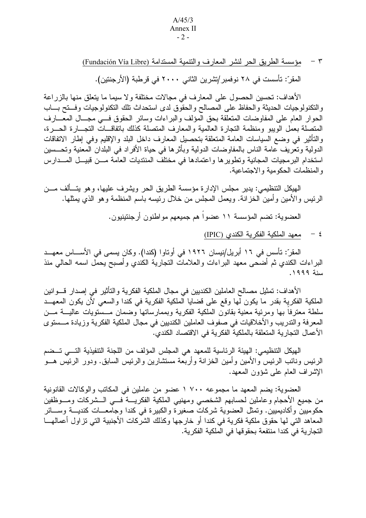#### $A/45/3$ Annex II  $-2-$

٣ - مؤسسة الطريق الحر لنشر المعارف والنتمية المستدامة (Fundación Vía Libre)

المقرّ : تأسست في ٢٨ نوفمبر /تشرين الثاني ٢٠٠٠ في قرطبة (الأرجنتين).

الأهداف: تحسين الحصول على المعارف في مجالات مختلفة ولا سيما ما يتعلق منها بالزر اعة والتكنولوجيات الحديثة والحفاظ على المصالح والحقوق لدى استحداث نلك النكنولوجيات وفستح بساب الحوار العام على المفاوضات المتعلقة بحق المولف والبراءات وسائر الحقوق فسي مجـــال المعـــارف المتصلة بعمل الويبو ومنظمة التجارة العالمية والمعارف المتصلة كذلك باتفاقسات التجسارة الحسرة، والتأثير في وضع السياسات العامة المتعلقة بتحصيل المعارف داخل البلد والإقليم وفي إطار الاتفاقات الدولية ونعريف عامة الناس بالمفاوضات الدولية وبأثرها في حياة الأفراد في البلدان المعنية وتحـــسين استخدام البرمجيات المجانية وتطويرها واعتمادها في مختلف المنتديات العامة مـــن قبيـــل المـــدارس و المنظمات الحكومية و الاجتماعية.

الهيكل التنظيمي: يدير مجلس الإدارة مؤسسة الطريق الحر ويشرف عليها، وهو يتـــألف مـــن الرئيس والأمين وأمين الخزانة. ويعمل المجلس من خلال رئيسه باسم المنظمة وهو الذي يمثلها.

العضوية: تضم المؤسسة ١١ عضواً هم جميعهم مواطنون أرجنتينيون.

٤ – معهد الملكية الفكر ية الكندى (IPIC)

المقرّ : تأسس في ١٦ أبريل/نيسان ١٩٢٦ في أوتاوا (كندا). وكان يسمى في الأســـاس معهـــد البراءات الكندي ثم أضحى معهد البراءات والعلامات النجارية الكندي وأصبح يحمل اسمه الحالي منذ سنة ١٩٩٩.

الأهداف: تمثيل مصـالـح الـعاملين الكنديين في مـجال الملكية الفكريـة والتأثير في إصدار قـــوانين الملكية الفكرية بقدر ما يكون لها وقع على قضايا الملكية الفكرية في كندا والسعى لأن يكون المعهــد سلطة معترفا بها ومرئية معنية بقانون الملكية الفكرية وبممارساتها وضمان مــستويات عاليـــة مـــن المعرفة والندريب والأخلاقيات في صفوف العاملين الكنديين في مجال الملكية الفكرية وزيادة مـــستوى الأعمال التجارية المتعلقة بالملكية الفكرية في الاقتصاد الكندي.

الهيكل التنظيمي: الهيئة الرئاسية للمعهد هي المجلس المؤلف من اللجنة التنفيذية التـــي تـــضم الرئيس ونائب الرئيس والأمين وأمين الخزانة وأربعة مستثنارين والرئيس السابق. ودور الرئيس هـــو الإشراف العام على شؤون المعهد.

العضوية: يضم المعهد ما مجموعه ٧٠٠ ١ عضو من عاملين في المكاتب والوكالات القانونية من جميع الأحجام وعاملين لحسابهم الشخصبي ومهنيبي الملكية الفكريــــة فــــي الــــشركات ومــــوظفين حكوميين وأكاديميين. وتمثل العضوية شركات صغيرة والكبيرة في كندا وجامعـــات كنديــــة وســــائر المعاهد التي لمها حقوق ملكية فكرية في كندا أو خارجها وكذلك الشركات الأجنبية التي تز إول أعمالهـــا التجارية في كندا منتفعة بحقوقها في الملكية الفكرية.